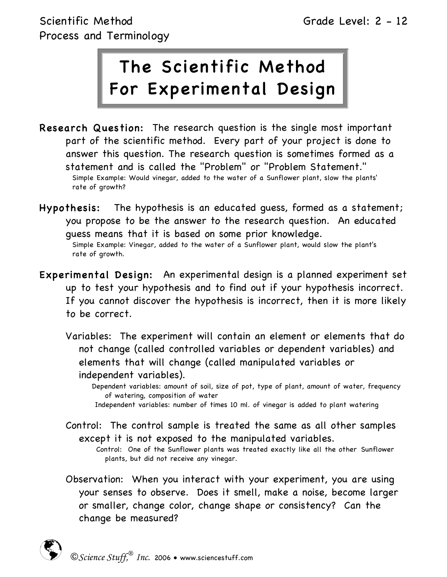# The Scientific Method For Experimental Design

- Research Question: The research question is the single most important part of the scientific method. Every part of your project is done to answer this question. The research question is sometimes formed as a statement and is called the "Problem" or "Problem Statement." Simple Example: Would vinegar, added to the water of a Sunflower plant, slow the plants' rate of growth?
- Hypothesis: The hypothesis is an educated guess, formed as a statement; you propose to be the answer to the research question. An educated guess means that it is based on some prior knowledge.

Simple Example: Vinegar, added to the water of a Sunflower plant, would slow the plant's rate of growth.

- Experimental Design: An experimental design is a planned experiment set up to test your hypothesis and to find out if your hypothesis incorrect. If you cannot discover the hypothesis is incorrect, then it is more likely to be correct.
	- Variables: The experiment will contain an element or elements that do not change (called controlled variables or dependent variables) and elements that will change (called manipulated variables or independent variables).

Dependent variables: amount of soil, size of pot, type of plant, amount of water, frequency of watering, composition of water

- Independent variables: number of times 10 ml. of vinegar is added to plant watering
- Control: The control sample is treated the same as all other samples except it is not exposed to the manipulated variables.

Control: One of the Sunflower plants was treated exactly like all the other Sunflower plants, but did not receive any vinegar.

Observation: When you interact with your experiment, you are using your senses to observe. Does it smell, make a noise, become larger or smaller, change color, change shape or consistency? Can the change be measured?

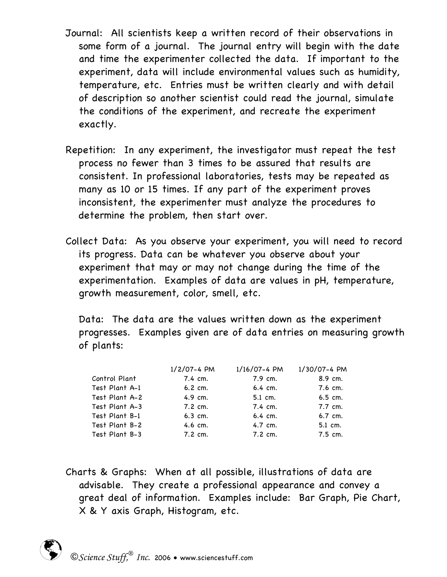- Journal: All scientists keep a written record of their observations in some form of a journal. The journal entry will begin with the date and time the experimenter collected the data. If important to the experiment, data will include environmental values such as humidity, temperature, etc. Entries must be written clearly and with detail of description so another scientist could read the journal, simulate the conditions of the experiment, and recreate the experiment exactly.
- Repetition: In any experiment, the investigator must repeat the test process no fewer than 3 times to be assured that results are consistent. In professional laboratories, tests may be repeated as many as 10 or 15 times. If any part of the experiment proves inconsistent, the experimenter must analyze the procedures to determine the problem, then start over.
- Collect Data: As you observe your experiment, you will need to record its progress. Data can be whatever you observe about your experiment that may or may not change during the time of the experimentation. Examples of data are values in pH, temperature, growth measurement, color, smell, etc.

Data: The data are the values written down as the experiment progresses. Examples given are of data entries on measuring growth of plants:

| $1/2/07 - 4$ PM      | 1/16/07-4 PM         | 1/30/07-4 PM         |
|----------------------|----------------------|----------------------|
| 7.4 cm.              | 7.9 cm.              | 8.9 cm.              |
| $6.2 \, \text{cm}$ . | $6.4 \, \text{cm}$ . | $7.6 \, \text{cm}$ . |
| $4.9 \text{ cm.}$    | 5.1 cm.              | $6.5$ cm.            |
| $7.2 \, \text{cm}$ . | $7.4 \, \text{cm}$ . | $7.7 \, \text{cm}$ . |
| $6.3$ cm.            | $6.4 \, \text{cm}$ . | $6.7$ cm.            |
| $4.6 \, \text{cm}$ . | 4.7 cm.              | 5.1 cm.              |
| $7.2 \, \text{cm}$ . | $7.2 \, \text{cm}$ . | $7.5$ cm.            |
|                      |                      |                      |

Charts & Graphs: When at all possible, illustrations of data are advisable. They create a professional appearance and convey a great deal of information. Examples include: Bar Graph, Pie Chart, X & Y axis Graph, Histogram, etc.

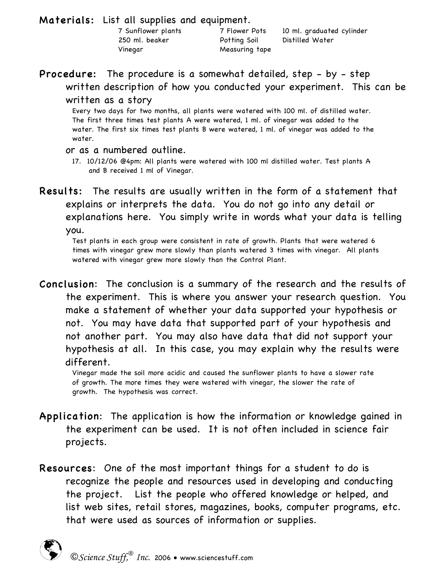Materials: List all supplies and equipment.

250 ml. beaker Potting Soil Distilled Water Vinegar Measuring tape

7 Sunflower plants 7 Flower Pots 10 ml. graduated cylinder

# Procedure: The procedure is a somewhat detailed, step - by - step written description of how you conducted your experiment. This can be

#### written as a story

Every two days for two months, all plants were watered with 100 ml. of distilled water. The first three times test plants A were watered, 1 ml. of vinegar was added to the water. The first six times test plants B were watered, 1 ml. of vinegar was added to the water.

#### or as a numbered outline.

Results: The results are usually written in the form of a statement that explains or interprets the data. You do not go into any detail or explanations here. You simply write in words what your data is telling

you. Test plants in each group were consistent in rate of growth. Plants that were watered <sup>6</sup> times with vinegar grew more slowly than plants watered 3 times with vinegar. All plants watered with vinegar grew more slowly than the Control Plant.

Conclusion: The conclusion is a summary of the research and the results of the experiment. This is where you answer your research question. You make a statement of whether your data supported your hypothesis or not. You may have data that supported part of your hypothesis and not another part. You may also have data that did not support your hypothesis at all. In this case, you may explain why the results were different.

Vinegar made the soil more acidic and caused the sunflower plants to have a slower rate of growth. The more times they were watered with vinegar, the slower the rate of growth. The hypothesis was correct.

- Application: The application is how the information or knowledge gained in the experiment can be used. It is not often included in science fair projects.
- Resources: One of the most important things for a student to do is recognize the people and resources used in developing and conducting the project. List the people who offered knowledge or helped, and list web sites, retail stores, magazines, books, computer programs, etc. that were used as sources of information or supplies.



<sup>17.</sup> 10/12/06 @4pm: All plants were watered with 100 ml distilled water. Test plants A and B received 1 ml of Vinegar.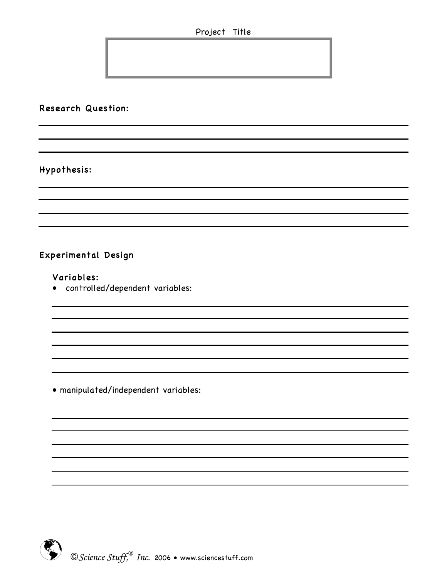Project Title

# Research Question:

# Hypothesis:

# Experimental Design

#### Variables:

• controlled/dependent variables:

• manipulated/independent variables:

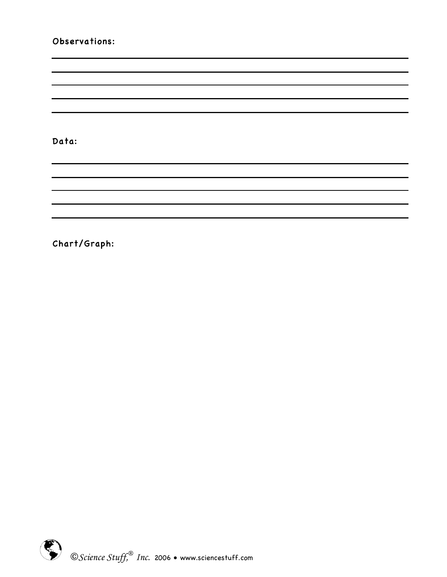#### Observations:

Data:

Chart/Graph:

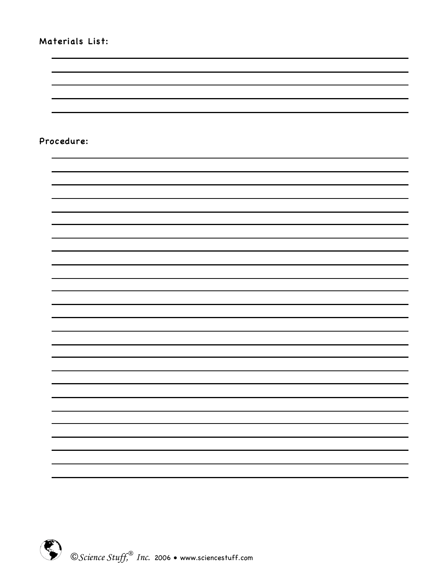## Materials List:

#### Procedure: